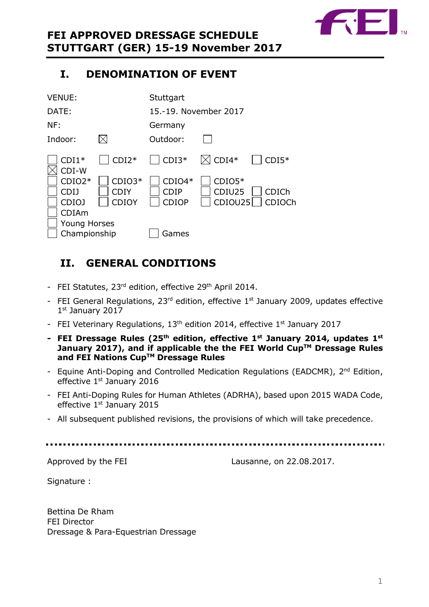

# <span id="page-0-0"></span>**I. DENOMINATION OF EVENT**

| <b>VENUE:</b>                                |                                  | Stuttgart                               |                               |                        |
|----------------------------------------------|----------------------------------|-----------------------------------------|-------------------------------|------------------------|
| DATE:                                        |                                  | 15.-19. November 2017                   |                               |                        |
| NF:                                          |                                  | Germany                                 |                               |                        |
| Indoor:                                      |                                  | Outdoor:                                |                               |                        |
| $CDI1*$<br>CDI-W                             | $CDI2*$                          | $CDI3*$                                 | $\boxtimes$ CDI4*             | $CDI5*$                |
| $CDIO2*$<br><b>CDIJ</b><br>CDIOJ             | $CDIO3*$<br><b>CDIY</b><br>CDIOY | $CDIO4*$<br><b>CDIP</b><br><b>CDIOP</b> | $CDIO5*$<br>CDIU25<br>CDIOU25 | <b>CDICh</b><br>CDIOCh |
| CDIAm<br><b>Young Horses</b><br>Championship |                                  | Games                                   |                               |                        |

# <span id="page-0-1"></span>**II. GENERAL CONDITIONS**

- FEI Statutes, 23<sup>rd</sup> edition, effective 29<sup>th</sup> April 2014.
- FEI General Regulations,  $23^{rd}$  edition, effective  $1^{st}$  January 2009, updates effective 1 st January 2017
- FEI Veterinary Regulations,  $13<sup>th</sup>$  edition 2014, effective  $1<sup>st</sup>$  January 2017
- **- FEI Dressage Rules (25 th edition, effective 1st January 2014, updates 1 st January 2017), and if applicable the the FEI World CupTM Dressage Rules and FEI Nations CupTM Dressage Rules**
- Equine Anti-Doping and Controlled Medication Regulations (EADCMR), 2<sup>nd</sup> Edition, effective 1st January 2016
- FEI Anti-Doping Rules for Human Athletes (ADRHA), based upon 2015 WADA Code, effective  $1<sup>st</sup>$  January 2015
- All subsequent published revisions, the provisions of which will take precedence.

Approved by the FEI Lausanne, on 22.08.2017.

Signature :

Bettina De Rham FEI Director Dressage & Para-Equestrian Dressage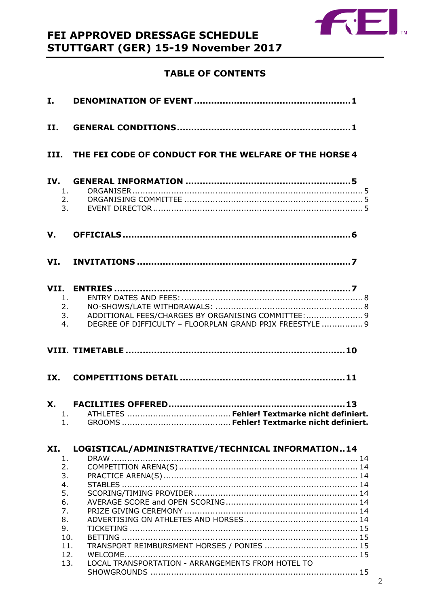

# FEI APPROVED DRESSAGE SCHEDULE STUTTGART (GER) 15-19 November 2017

### **TABLE OF CONTENTS**

| II.                                                       |                                                                                                                                                                                  |
|-----------------------------------------------------------|----------------------------------------------------------------------------------------------------------------------------------------------------------------------------------|
|                                                           | III. THE FEI CODE OF CONDUCT FOR THE WELFARE OF THE HORSE 4                                                                                                                      |
| IV.                                                       | 1.<br>2.<br>3.                                                                                                                                                                   |
| V.                                                        |                                                                                                                                                                                  |
|                                                           |                                                                                                                                                                                  |
| 1.                                                        | 2.<br>ADDITIONAL FEES/CHARGES BY ORGANISING COMMITTEE:  9<br>3.<br>DEGREE OF DIFFICULTY - FLOORPLAN GRAND PRIX FREESTYLE  9<br>4.                                                |
|                                                           |                                                                                                                                                                                  |
|                                                           |                                                                                                                                                                                  |
| 1.                                                        |                                                                                                                                                                                  |
| XI.<br>1.<br>2.<br>3.<br>4.<br>5.<br>6.<br>7.<br>8.<br>9. | LOGISTICAL/ADMINISTRATIVE/TECHNICAL INFORMATION14<br>10.<br>TRANSPORT REIMBURSMENT HORSES / PONIES  15<br>11.<br>12.<br>LOCAL TRANSPORTATION - ARRANGEMENTS FROM HOTEL TO<br>13. |
|                                                           |                                                                                                                                                                                  |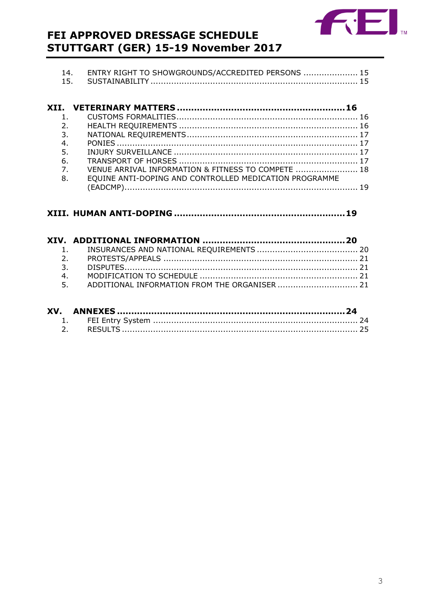

# FEI APPROVED DRESSAGE SCHEDULE STUTTGART (GER) 15-19 November 2017

| -14. | ENTRY RIGHT TO SHOWGROUNDS/ACCREDITED PERSONS  15 |  |
|------|---------------------------------------------------|--|
| 15.  |                                                   |  |

| 2 <sub>1</sub> |                                                        |  |
|----------------|--------------------------------------------------------|--|
| 3.             |                                                        |  |
| 4.             |                                                        |  |
| 5.             |                                                        |  |
| 6.             |                                                        |  |
| 7 <sub>1</sub> | VENUE ARRIVAL INFORMATION & FITNESS TO COMPETE  18     |  |
| 8.             | EQUINE ANTI-DOPING AND CONTROLLED MEDICATION PROGRAMME |  |
|                |                                                        |  |

### 

| 5. ADDITIONAL INFORMATION FROM THE ORGANISER  21 |  |
|--------------------------------------------------|--|
|                                                  |  |

| XV. |  |
|-----|--|
|     |  |
|     |  |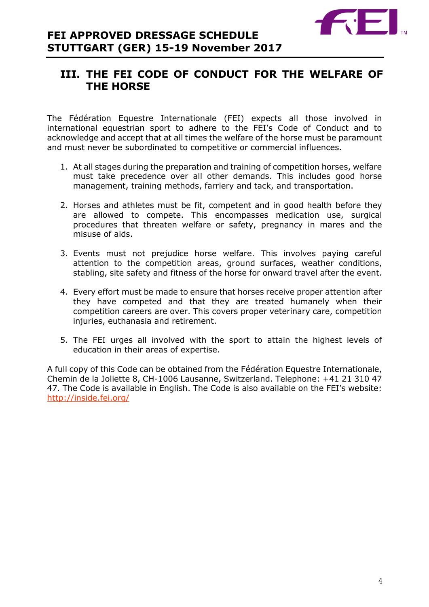

# <span id="page-3-0"></span>**III. THE FEI CODE OF CONDUCT FOR THE WELFARE OF THE HORSE**

The Fédération Equestre Internationale (FEI) expects all those involved in international equestrian sport to adhere to the FEI's Code of Conduct and to acknowledge and accept that at all times the welfare of the horse must be paramount and must never be subordinated to competitive or commercial influences.

- 1. At all stages during the preparation and training of competition horses, welfare must take precedence over all other demands. This includes good horse management, training methods, farriery and tack, and transportation.
- 2. Horses and athletes must be fit, competent and in good health before they are allowed to compete. This encompasses medication use, surgical procedures that threaten welfare or safety, pregnancy in mares and the misuse of aids.
- 3. Events must not prejudice horse welfare. This involves paying careful attention to the competition areas, ground surfaces, weather conditions, stabling, site safety and fitness of the horse for onward travel after the event.
- 4. Every effort must be made to ensure that horses receive proper attention after they have competed and that they are treated humanely when their competition careers are over. This covers proper veterinary care, competition injuries, euthanasia and retirement.
- 5. The FEI urges all involved with the sport to attain the highest levels of education in their areas of expertise.

A full copy of this Code can be obtained from the Fédération Equestre Internationale, Chemin de la Joliette 8, CH-1006 Lausanne, Switzerland. Telephone: +41 21 310 47 47. The Code is available in English. The Code is also available on the FEI's website: <http://inside.fei.org/>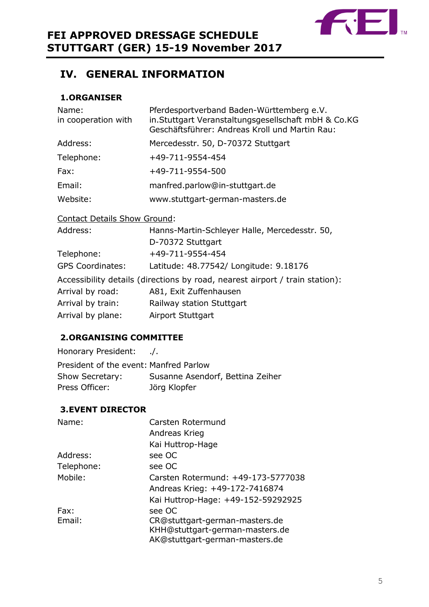

# <span id="page-4-0"></span>**IV. GENERAL INFORMATION**

### <span id="page-4-1"></span>**1.ORGANISER**

| Name:<br>in cooperation with | Pferdesportverband Baden-Württemberg e.V.<br>in.Stuttgart Veranstaltungsgesellschaft mbH & Co.KG<br>Geschäftsführer: Andreas Kroll und Martin Rau: |
|------------------------------|----------------------------------------------------------------------------------------------------------------------------------------------------|
| Address:                     | Mercedesstr. 50, D-70372 Stuttgart                                                                                                                 |
| Telephone:                   | +49-711-9554-454                                                                                                                                   |
| Fax:                         | +49-711-9554-500                                                                                                                                   |
| Email:                       | manfred.parlow@in-stuttgart.de                                                                                                                     |
| Website:                     | www.stuttgart-german-masters.de                                                                                                                    |

### Contact Details Show Ground:

| Address:                | Hanns-Martin-Schleyer Halle, Mercedesstr. 50,                                |
|-------------------------|------------------------------------------------------------------------------|
|                         | D-70372 Stuttgart                                                            |
| Telephone:              | +49-711-9554-454                                                             |
| <b>GPS Coordinates:</b> | Latitude: 48.77542/ Longitude: 9.18176                                       |
|                         | Accessibility details (directions by road, nearest airport / train station): |
| Arrival by road:        | A81, Exit Zuffenhausen                                                       |
| Arrival by train:       | Railway station Stuttgart                                                    |
| Arrival by plane:       | Airport Stuttgart                                                            |
|                         |                                                                              |

### <span id="page-4-2"></span>**2.ORGANISING COMMITTEE**

Honorary President: ./. President of the event: Manfred Parlow Show Secretary: Susanne Asendorf, Bettina Zeiher Press Officer: Jörg Klopfer

### <span id="page-4-3"></span>**3.EVENT DIRECTOR**

| Name:      | Carsten Rotermund                  |
|------------|------------------------------------|
|            | Andreas Krieg                      |
|            | Kai Huttrop-Hage                   |
| Address:   | see OC                             |
| Telephone: | see OC                             |
| Mobile:    | Carsten Rotermund: +49-173-5777038 |
|            | Andreas Krieg: +49-172-7416874     |
|            | Kai Huttrop-Hage: +49-152-59292925 |
| Fax:       | see OC                             |
| Email:     | CR@stuttgart-german-masters.de     |
|            | KHH@stuttgart-german-masters.de    |
|            | AK@stuttgart-german-masters.de     |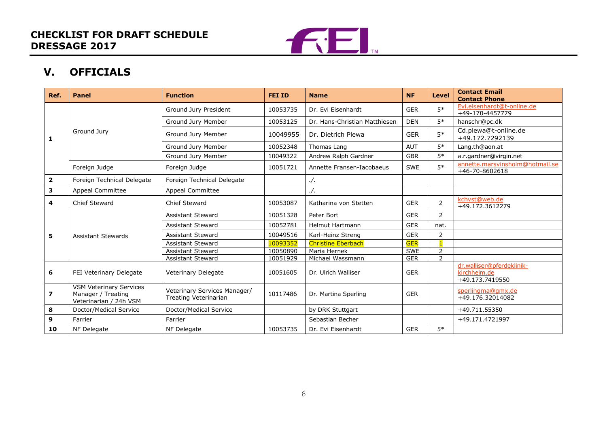

# **V. OFFICIALS**

<span id="page-5-0"></span>

| Ref.           | <b>Panel</b>                                                                   | <b>Function</b>                                       | <b>FEI ID</b> | <b>Name</b>                   | <b>NF</b>  | <b>Level</b>   | <b>Contact Email</b><br><b>Contact Phone</b>                 |
|----------------|--------------------------------------------------------------------------------|-------------------------------------------------------|---------------|-------------------------------|------------|----------------|--------------------------------------------------------------|
|                |                                                                                | Ground Jury President                                 | 10053735      | Dr. Evi Eisenhardt            | <b>GER</b> | $5*$           | Evi.eisenhardt@t-online.de<br>+49-170-4457779                |
|                |                                                                                | Ground Jury Member                                    | 10053125      | Dr. Hans-Christian Matthiesen | <b>DEN</b> | $5*$           | hanschr@pc.dk                                                |
| $\mathbf{1}$   | Ground Jury                                                                    | Ground Jury Member                                    | 10049955      | Dr. Dietrich Plewa            | <b>GER</b> | $5*$           | Cd.plewa@t-online.de<br>+49.172.7292139                      |
|                |                                                                                | Ground Jury Member                                    | 10052348      | Thomas Lang                   | <b>AUT</b> | $5*$           | Lang.th@aon.at                                               |
|                |                                                                                | Ground Jury Member                                    | 10049322      | Andrew Ralph Gardner          | <b>GBR</b> | $5*$           | a.r.gardner@virgin.net                                       |
|                | Foreign Judge                                                                  | Foreign Judge                                         | 10051721      | Annette Fransen-Iacobaeus     | <b>SWE</b> | $5*$           | annette.marsvinsholm@hotmail.se<br>+46-70-8602618            |
| $\mathbf{2}$   | Foreign Technical Delegate                                                     | Foreign Technical Delegate                            |               | . /.                          |            |                |                                                              |
| 3              | <b>Appeal Committee</b>                                                        | <b>Appeal Committee</b>                               |               | $\cdot$ /.                    |            |                |                                                              |
| 4              | Chief Steward                                                                  | Chief Steward                                         | 10053087      | Katharina von Stetten         | <b>GER</b> | $\overline{2}$ | kchvst@web.de<br>+49.172.3612279                             |
|                |                                                                                | <b>Assistant Steward</b>                              | 10051328      | Peter Bort                    | <b>GER</b> | 2              |                                                              |
|                |                                                                                | <b>Assistant Steward</b>                              | 10052781      | Helmut Hartmann               | <b>GER</b> | nat.           |                                                              |
| 5              | <b>Assistant Stewards</b>                                                      | <b>Assistant Steward</b>                              | 10049516      | Karl-Heinz Streng             | <b>GER</b> | 2              |                                                              |
|                |                                                                                | Assistant Steward                                     | 10093352      | <b>Christine Eberbach</b>     | <b>GER</b> | $\blacksquare$ |                                                              |
|                |                                                                                | <b>Assistant Steward</b>                              | 10050890      | Maria Hernek                  | <b>SWE</b> | $\overline{2}$ |                                                              |
|                |                                                                                | Assistant Steward                                     | 10051929      | Michael Wassmann              | <b>GER</b> | $\overline{2}$ |                                                              |
| 6              | FEI Veterinary Delegate                                                        | <b>Veterinary Delegate</b>                            | 10051605      | Dr. Ulrich Walliser           | <b>GER</b> |                | dr.walliser@pferdeklinik-<br>kirchheim.de<br>+49.173.7419550 |
| $\overline{ }$ | <b>VSM Veterinary Services</b><br>Manager / Treating<br>Veterinarian / 24h VSM | Veterinary Services Manager/<br>Treating Veterinarian | 10117486      | Dr. Martina Sperling          | <b>GER</b> |                | sperlingma@gmx.de<br>+49.176.32014082                        |
| 8              | Doctor/Medical Service                                                         | Doctor/Medical Service                                |               | by DRK Stuttgart              |            |                | +49.711.55350                                                |
| 9              | Farrier                                                                        | Farrier                                               |               | Sebastian Becher              |            |                | +49.171.4721997                                              |
| 10             | NF Delegate                                                                    | NF Delegate                                           | 10053735      | Dr. Evi Eisenhardt            | <b>GER</b> | $5*$           |                                                              |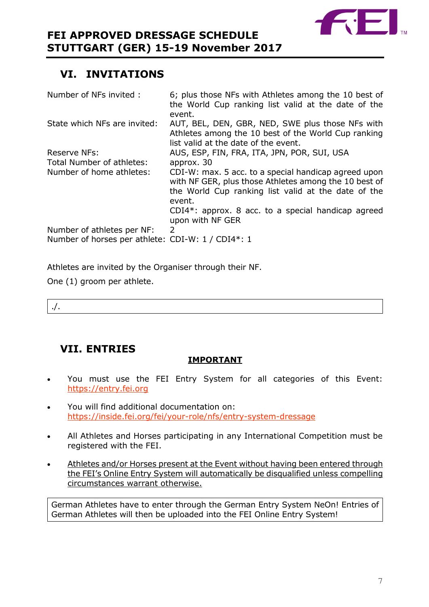

# <span id="page-6-0"></span>**VI. INVITATIONS**

| 6; plus those NFs with Athletes among the 10 best of<br>the World Cup ranking list valid at the date of the                                                                    |
|--------------------------------------------------------------------------------------------------------------------------------------------------------------------------------|
| event.                                                                                                                                                                         |
| AUT, BEL, DEN, GBR, NED, SWE plus those NFs with                                                                                                                               |
| Athletes among the 10 best of the World Cup ranking                                                                                                                            |
| list valid at the date of the event.                                                                                                                                           |
| AUS, ESP, FIN, FRA, ITA, JPN, POR, SUI, USA                                                                                                                                    |
| approx. 30                                                                                                                                                                     |
| CDI-W: max. 5 acc. to a special handicap agreed upon<br>with NF GER, plus those Athletes among the 10 best of<br>the World Cup ranking list valid at the date of the<br>event. |
| $CDI4*$ : approx. 8 acc. to a special handicap agreed<br>upon with NF GER                                                                                                      |
| 2                                                                                                                                                                              |
| Number of horses per athlete: CDI-W: 1 / CDI4*: 1                                                                                                                              |
|                                                                                                                                                                                |

Athletes are invited by the Organiser through their NF.

One (1) groom per athlete.

./.

# <span id="page-6-1"></span>**VII. ENTRIES**

### **IMPORTANT**

- You must use the FEI Entry System for all categories of this Event: [https://entry.fei.org](https://entry.fei.org/)
- You will find additional documentation on: <https://inside.fei.org/fei/your-role/nfs/entry-system-dressage>
- All Athletes and Horses participating in any International Competition must be registered with the FEI.
- Athletes and/or Horses present at the Event without having been entered through the FEI's Online Entry System will automatically be disqualified unless compelling circumstances warrant otherwise.

German Athletes have to enter through the German Entry System NeOn! Entries of German Athletes will then be uploaded into the FEI Online Entry System!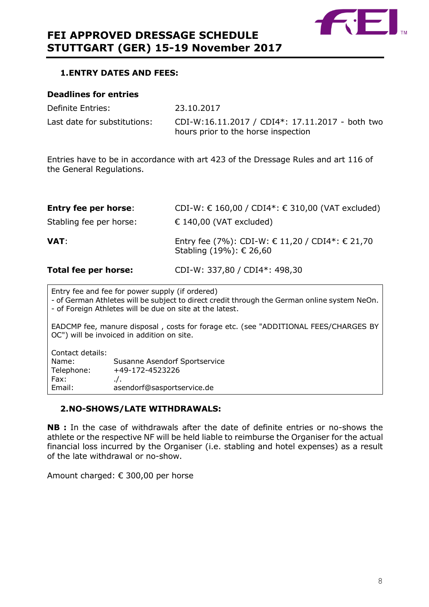

### <span id="page-7-0"></span>**1.ENTRY DATES AND FEES:**

### **Deadlines for entries**

Definite Entries: 23.10.2017 Last date for substitutions: CDI-W:16.11.2017 / CDI4\*: 17.11.2017 - both two hours prior to the horse inspection

Entries have to be in accordance with art 423 of the Dressage Rules and art 116 of the General Regulations.

| Total fee per horse:        | CDI-W: 337,80 / CDI4*: 498,30                                              |
|-----------------------------|----------------------------------------------------------------------------|
| VAT:                        | Entry fee (7%): CDI-W: € 11,20 / CDI4*: € 21,70<br>Stabling (19%): € 26,60 |
| Stabling fee per horse:     | $\in$ 140,00 (VAT excluded)                                                |
| <b>Entry fee per horse:</b> | CDI-W: € 160,00 / CDI4*: € 310,00 (VAT excluded)                           |

Entry fee and fee for power supply (if ordered) - of German Athletes will be subject to direct credit through the German online system NeOn. - of Foreign Athletes will be due on site at the latest.

EADCMP fee, manure disposal , costs for forage etc. (see "ADDITIONAL FEES/CHARGES BY OC") will be invoiced in addition on site.

| Susanne Asendorf Sportservice |
|-------------------------------|
| +49-172-4523226               |
| $\cdot$ .                     |
| asendorf@sasportservice.de    |
|                               |

### <span id="page-7-1"></span>**2.NO-SHOWS/LATE WITHDRAWALS:**

**NB :** In the case of withdrawals after the date of definite entries or no-shows the athlete or the respective NF will be held liable to reimburse the Organiser for the actual financial loss incurred by the Organiser (i.e. stabling and hotel expenses) as a result of the late withdrawal or no-show.

Amount charged: € 300,00 per horse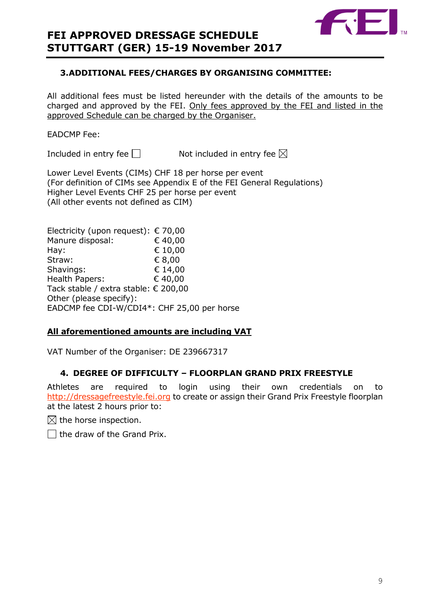

### <span id="page-8-0"></span>**3.ADDITIONAL FEES/CHARGES BY ORGANISING COMMITTEE:**

All additional fees must be listed hereunder with the details of the amounts to be charged and approved by the FEI. Only fees approved by the FEI and listed in the approved Schedule can be charged by the Organiser.

### EADCMP Fee:

Included in entry fee  $\Box$  Not included in entry fee  $\boxtimes$ 

Lower Level Events (CIMs) CHF 18 per horse per event (For definition of CIMs see Appendix E of the FEI General Regulations) Higher Level Events CHF 25 per horse per event (All other events not defined as CIM)

| Electricity (upon request): $\epsilon$ 70,00 |
|----------------------------------------------|
| €40,00                                       |
| € 10,00                                      |
| € 8,00                                       |
| € 14,00                                      |
| € 40,00                                      |
| Tack stable / extra stable: € 200,00         |
|                                              |
| EADCMP fee CDI-W/CDI4*: CHF 25,00 per horse  |
|                                              |

### **All aforementioned amounts are including VAT**

VAT Number of the Organiser: DE 239667317

### <span id="page-8-1"></span>**4. DEGREE OF DIFFICULTY – FLOORPLAN GRAND PRIX FREESTYLE**

Athletes are required to login using their own credentials on to [http://dressagefreestyle.fei.org](http://dressagefreestyle.fei.org/) to create or assign their Grand Prix Freestyle floorplan at the latest 2 hours prior to:

 $\boxtimes$  the horse inspection.

 $\Box$  the draw of the Grand Prix.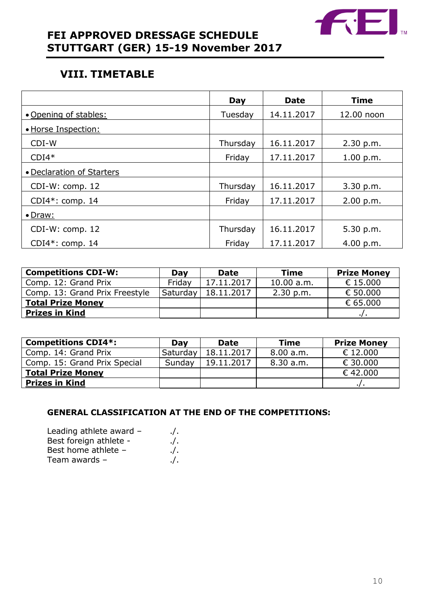

# **FEI APPROVED DRESSAGE SCHEDULE STUTTGART (GER) 15-19 November 2017**

# <span id="page-9-0"></span>**VIII. TIMETABLE**

|                           | Day      | <b>Date</b> | <b>Time</b> |
|---------------------------|----------|-------------|-------------|
| • Opening of stables:     | Tuesday  | 14.11.2017  | 12.00 noon  |
| • Horse Inspection:       |          |             |             |
| CDI-W                     | Thursday | 16.11.2017  | 2.30 p.m.   |
| $CDI4*$                   | Friday   | 17.11.2017  | 1.00 p.m.   |
| • Declaration of Starters |          |             |             |
| $CDI-W: comp. 12$         | Thursday | 16.11.2017  | 3.30 p.m.   |
| $CDI4*: comp. 14$         | Friday   | 17.11.2017  | 2.00 p.m.   |
| $\bullet$ Draw:           |          |             |             |
| CDI-W: comp. 12           | Thursday | 16.11.2017  | 5.30 p.m.   |
| $CDI4*: comp. 14$         | Friday   | 17.11.2017  | 4.00 p.m.   |

| <b>Competitions CDI-W:</b>     | Day      | <b>Date</b> | <b>Time</b> | <b>Prize Money</b> |
|--------------------------------|----------|-------------|-------------|--------------------|
| Comp. 12: Grand Prix           | Fridav   | 17.11.2017  | 10.00 a.m.  | € 15,000           |
| Comp. 13: Grand Prix Freestyle | Saturday | 18.11.2017  | 2.30 p.m.   | € 50.000           |
| <b>Total Prize Money</b>       |          |             |             | € 65,000           |
| <b>Prizes in Kind</b>          |          |             |             |                    |

| <b>Competitions CDI4*:</b>   | Day      | <b>Date</b> | <b>Time</b> | <b>Prize Money</b> |
|------------------------------|----------|-------------|-------------|--------------------|
| Comp. 14: Grand Prix         | Saturday | 18.11.2017  | 8.00 a.m.   | € 12,000           |
| Comp. 15: Grand Prix Special | Sunday   | 19.11.2017  | 8.30 a.m.   | € 30.000           |
| <b>Total Prize Money</b>     |          |             |             | €42,000            |
| <b>Prizes in Kind</b>        |          |             |             |                    |

### **GENERAL CLASSIFICATION AT THE END OF THE COMPETITIONS:**

| Leading athlete award - | ./.        |
|-------------------------|------------|
| Best foreign athlete -  | $\cdot$ /. |
| Best home athlete -     | $\cdot$ /. |
| Team awards $-$         | ./.        |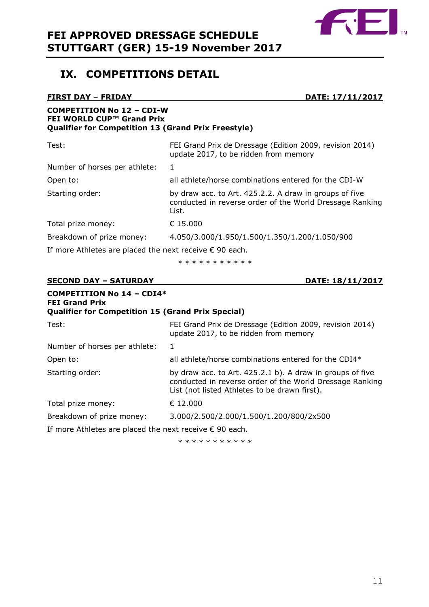

## <span id="page-10-0"></span>**IX. COMPETITIONS DETAIL**

## **FIRST DAY – FRIDAY DATE: 17/11/2017 COMPETITION No 12 – CDI-W FEI WORLD CUP™ Grand Prix Qualifier for Competition 13 (Grand Prix Freestyle)** Test: FEI Grand Prix de Dressage (Edition 2009, revision 2014) update 2017, to be ridden from memory Number of horses per athlete: 1 Open to: all athlete/horse combinations entered for the CDI-W Starting order: by draw acc. to Art. 425.2.2. A draw in groups of five conducted in reverse order of the World Dressage Ranking List. Total prize money: € 15.000 Breakdown of prize money: 4.050/3.000/1.950/1.500/1.350/1.200/1.050/900 If more Athletes are placed the next receive  $\epsilon$  90 each.

\* \* \* \* \* \* \* \* \* \* \*

### **SECOND DAY – SATURDAY DATE: 18/11/2017**

| <b>COMPETITION No 14 - CDI4*</b><br><b>FEI Grand Prix</b><br><b>Qualifier for Competition 15 (Grand Prix Special)</b> |                                                                                                                                                                        |
|-----------------------------------------------------------------------------------------------------------------------|------------------------------------------------------------------------------------------------------------------------------------------------------------------------|
| Test:                                                                                                                 | FEI Grand Prix de Dressage (Edition 2009, revision 2014)<br>update 2017, to be ridden from memory                                                                      |
| Number of horses per athlete:                                                                                         | 1                                                                                                                                                                      |
| Open to:                                                                                                              | all athlete/horse combinations entered for the CDI4*                                                                                                                   |
| Starting order:                                                                                                       | by draw acc. to Art. 425.2.1 b). A draw in groups of five<br>conducted in reverse order of the World Dressage Ranking<br>List (not listed Athletes to be drawn first). |
| Total prize money:                                                                                                    | € 12.000                                                                                                                                                               |
| Breakdown of prize money:                                                                                             | 3.000/2.500/2.000/1.500/1.200/800/2x500                                                                                                                                |
| If more Athletes are placed the next receive $\epsilon$ 90 each.                                                      |                                                                                                                                                                        |

\* \* \* \* \* \* \* \* \* \*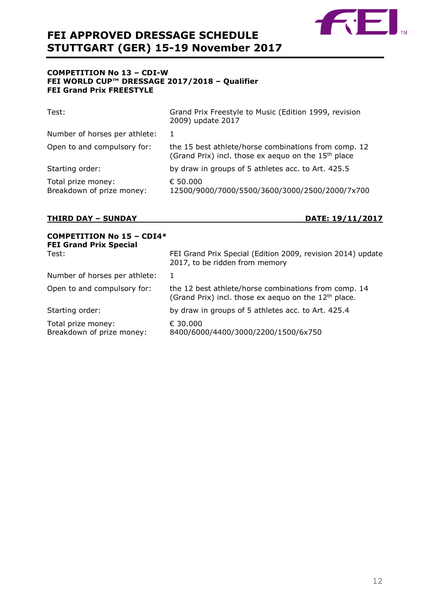

### **COMPETITION No 13 – CDI-W FEI WORLD CUP™ DRESSAGE 2017/2018 – Qualifier FEI Grand Prix FREESTYLE**

| Test:                                           | Grand Prix Freestyle to Music (Edition 1999, revision<br>2009) update 2017                                              |
|-------------------------------------------------|-------------------------------------------------------------------------------------------------------------------------|
| Number of horses per athlete:                   | -1                                                                                                                      |
| Open to and compulsory for:                     | the 15 best athlete/horse combinations from comp. 12<br>(Grand Prix) incl. those ex aequo on the 15 <sup>th</sup> place |
| Starting order:                                 | by draw in groups of 5 athletes acc. to Art. 425.5                                                                      |
| Total prize money:<br>Breakdown of prize money: | € 50.000<br>12500/9000/7000/5500/3600/3000/2500/2000/7x700                                                              |

### **THIRD DAY – SUNDAY DATE: 19/11/2017**

| <b>COMPETITION No 15 - CDI4*</b><br><b>FEI Grand Prix Special</b> |                                                                                                                          |
|-------------------------------------------------------------------|--------------------------------------------------------------------------------------------------------------------------|
| Test:                                                             | FEI Grand Prix Special (Edition 2009, revision 2014) update<br>2017, to be ridden from memory                            |
| Number of horses per athlete:                                     | 1                                                                                                                        |
| Open to and compulsory for:                                       | the 12 best athlete/horse combinations from comp. 14<br>(Grand Prix) incl. those ex aequo on the 12 <sup>th</sup> place. |
| Starting order:                                                   | by draw in groups of 5 athletes acc. to Art. 425.4                                                                       |
| Total prize money:<br>Breakdown of prize money:                   | € 30.000<br>8400/6000/4400/3000/2200/1500/6x750                                                                          |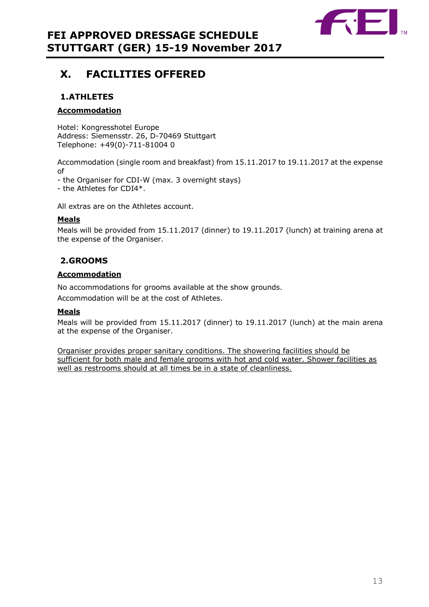

# <span id="page-12-0"></span>**X. FACILITIES OFFERED**

### **1.ATHLETES**

### **Accommodation**

Hotel: Kongresshotel Europe Address: Siemensstr. 26, D-70469 Stuttgart Telephone: +49(0)-711-81004 0

Accommodation (single room and breakfast) from 15.11.2017 to 19.11.2017 at the expense of

- the Organiser for CDI-W (max. 3 overnight stays)

- the Athletes for CDI4\*.

All extras are on the Athletes account.

### **Meals**

Meals will be provided from 15.11.2017 (dinner) to 19.11.2017 (lunch) at training arena at the expense of the Organiser.

### **2.GROOMS**

### **Accommodation**

No accommodations for grooms available at the show grounds.

Accommodation will be at the cost of Athletes.

### **Meals**

Meals will be provided from 15.11.2017 (dinner) to 19.11.2017 (lunch) at the main arena at the expense of the Organiser.

Organiser provides proper sanitary conditions. The showering facilities should be sufficient for both male and female grooms with hot and cold water. Shower facilities as well as restrooms should at all times be in a state of cleanliness.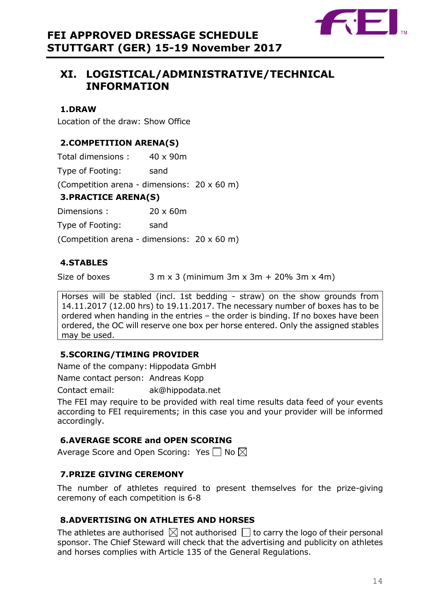

# <span id="page-13-0"></span>**XI. LOGISTICAL/ADMINISTRATIVE/TECHNICAL INFORMATION**

### <span id="page-13-1"></span>**1.DRAW**

Location of the draw: Show Office

### <span id="page-13-2"></span>**2.COMPETITION ARENA(S)**

Total dimensions : 40 x 90m

Type of Footing: sand

(Competition arena - dimensions: 20 x 60 m)

### <span id="page-13-3"></span>**3.PRACTICE ARENA(S)**

Dimensions : 20 x 60m

Type of Footing: sand

(Competition arena - dimensions: 20 x 60 m)

### <span id="page-13-4"></span>**4.STABLES**

Size of boxes  $3 \text{ m } x 3 \text{ (minimum } 3 \text{ m } x 3 \text{ m } + 20\% 3 \text{ m } x 4 \text{ m}$ 

Horses will be stabled (incl. 1st bedding - straw) on the show grounds from 14.11.2017 (12.00 hrs) to 19.11.2017. The necessary number of boxes has to be ordered when handing in the entries – the order is binding. If no boxes have been ordered, the OC will reserve one box per horse entered. Only the assigned stables may be used.

### <span id="page-13-5"></span>**5.SCORING/TIMING PROVIDER**

Name of the company: Hippodata GmbH

Name contact person: Andreas Kopp

Contact email: ak@hippodata.net

The FEI may require to be provided with real time results data feed of your events according to FEI requirements; in this case you and your provider will be informed accordingly.

### <span id="page-13-6"></span>**6.AVERAGE SCORE and OPEN SCORING**

Average Score and Open Scoring: Yes  $\square$  No  $\boxtimes$ 

### <span id="page-13-7"></span>**7.PRIZE GIVING CEREMONY**

The number of athletes required to present themselves for the prize-giving ceremony of each competition is 6-8

### <span id="page-13-8"></span>**8.ADVERTISING ON ATHLETES AND HORSES**

The athletes are authorised  $\boxtimes$  not authorised  $\Box$  to carry the logo of their personal sponsor. The Chief Steward will check that the advertising and publicity on athletes and horses complies with Article 135 of the General Regulations.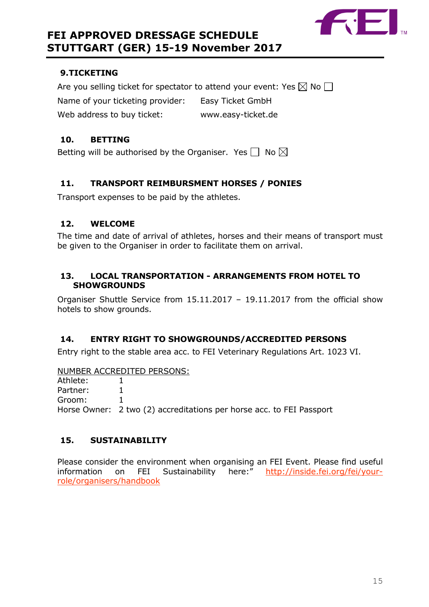

### <span id="page-14-0"></span>**9.TICKETING**

Are you selling ticket for spectator to attend your event: Yes  $\boxtimes$  No  $\Box$ Name of your ticketing provider: Easy Ticket GmbH Web address to buy ticket: www.easy-ticket.de

### <span id="page-14-1"></span>**10. BETTING**

Betting will be authorised by the Organiser. Yes  $\Box$  No  $\boxtimes$ 

### <span id="page-14-2"></span>**11. TRANSPORT REIMBURSMENT HORSES / PONIES**

Transport expenses to be paid by the athletes.

### <span id="page-14-3"></span>**12. WELCOME**

The time and date of arrival of athletes, horses and their means of transport must be given to the Organiser in order to facilitate them on arrival.

### <span id="page-14-4"></span>**13. LOCAL TRANSPORTATION - ARRANGEMENTS FROM HOTEL TO SHOWGROUNDS**

Organiser Shuttle Service from 15.11.2017 – 19.11.2017 from the official show hotels to show grounds.

### <span id="page-14-5"></span>**14. ENTRY RIGHT TO SHOWGROUNDS/ACCREDITED PERSONS**

Entry right to the stable area acc. to FEI Veterinary Regulations Art. 1023 VI.

NUMBER ACCREDITED PERSONS: Athlete: 1 Partner: 1 Groom: 1 Horse Owner: 2 two (2) accreditations per horse acc. to FEI Passport

### <span id="page-14-6"></span>**15. SUSTAINABILITY**

Please consider the environment when organising an FEI Event. Please find useful information on FEI Sustainability here:" [http://inside.fei.org/fei/your](http://inside.fei.org/fei/your-role/organisers/handbook)[role/organisers/handbook](http://inside.fei.org/fei/your-role/organisers/handbook)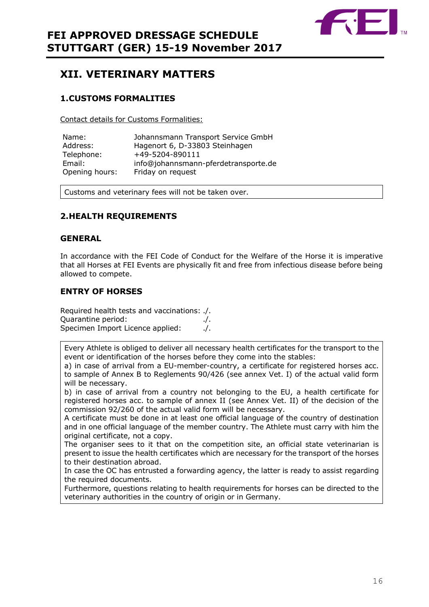

## <span id="page-15-0"></span>**XII. VETERINARY MATTERS**

### <span id="page-15-1"></span>**1.CUSTOMS FORMALITIES**

Contact details for Customs Formalities:

| Name:          | Johannsmann Transport Service GmbH   |
|----------------|--------------------------------------|
| Address:       | Hagenort 6, D-33803 Steinhagen       |
| Telephone:     | +49-5204-890111                      |
| Email:         | info@johannsmann-pferdetransporte.de |
| Opening hours: | Friday on request                    |

Customs and veterinary fees will not be taken over.

### <span id="page-15-2"></span>**2.HEALTH REQUIREMENTS**

### **GENERAL**

In accordance with the FEI Code of Conduct for the Welfare of the Horse it is imperative that all Horses at FEI Events are physically fit and free from infectious disease before being allowed to compete.

### **ENTRY OF HORSES**

Required health tests and vaccinations: ./. Quarantine period: ./. Specimen Import Licence applied: ./.

Every Athlete is obliged to deliver all necessary health certificates for the transport to the event or identification of the horses before they come into the stables:

a) in case of arrival from a EU-member-country, a certificate for registered horses acc. to sample of Annex B to Reglements 90/426 (see annex Vet. I) of the actual valid form will be necessary.

b) in case of arrival from a country not belonging to the EU, a health certificate for registered horses acc. to sample of annex II (see Annex Vet. II) of the decision of the commission 92/260 of the actual valid form will be necessary.

A certificate must be done in at least one official language of the country of destination and in one official language of the member country. The Athlete must carry with him the original certificate, not a copy.

The organiser sees to it that on the competition site, an official state veterinarian is present to issue the health certificates which are necessary for the transport of the horses to their destination abroad.

In case the OC has entrusted a forwarding agency, the latter is ready to assist regarding the required documents.

Furthermore, questions relating to health requirements for horses can be directed to the veterinary authorities in the country of origin or in Germany.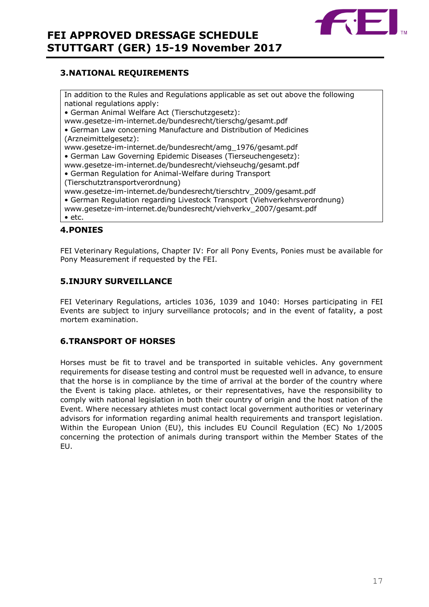

### <span id="page-16-0"></span>**3.NATIONAL REQUIREMENTS**

In addition to the Rules and Regulations applicable as set out above the following national regulations apply: • German Animal Welfare Act (Tierschutzgesetz): www.gesetze-im-internet.de/bundesrecht/tierschg/gesamt.pdf • German Law concerning Manufacture and Distribution of Medicines (Arzneimittelgesetz): www.gesetze-im-internet.de/bundesrecht/amg\_1976/gesamt.pdf • German Law Governing Epidemic Diseases (Tierseuchengesetz): www.gesetze-im-internet.de/bundesrecht/viehseuchg/gesamt.pdf • German Regulation for Animal-Welfare during Transport (Tierschutztransportverordnung) www.gesetze-im-internet.de/bundesrecht/tierschtrv\_2009/gesamt.pdf • German Regulation regarding Livestock Transport (Viehverkehrsverordnung) www.gesetze-im-internet.de/bundesrecht/viehverkv\_2007/gesamt.pdf • etc.

### <span id="page-16-1"></span>**4.PONIES**

FEI Veterinary Regulations, Chapter IV: For all Pony Events, Ponies must be available for Pony Measurement if requested by the FEI.

### <span id="page-16-2"></span>**5.INJURY SURVEILLANCE**

FEI Veterinary Regulations, articles 1036, 1039 and 1040: Horses participating in FEI Events are subject to injury surveillance protocols; and in the event of fatality, a post mortem examination.

### <span id="page-16-3"></span>**6.TRANSPORT OF HORSES**

Horses must be fit to travel and be transported in suitable vehicles. Any government requirements for disease testing and control must be requested well in advance, to ensure that the horse is in compliance by the time of arrival at the border of the country where the Event is taking place. athletes, or their representatives, have the responsibility to comply with national legislation in both their country of origin and the host nation of the Event. Where necessary athletes must contact local government authorities or veterinary advisors for information regarding animal health requirements and transport legislation. Within the European Union (EU), this includes EU Council Regulation (EC) No 1/2005 concerning the protection of animals during transport within the Member States of the EU.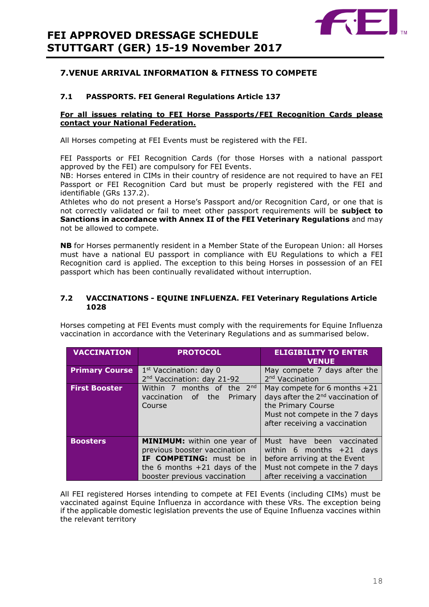

### <span id="page-17-0"></span>**7.VENUE ARRIVAL INFORMATION & FITNESS TO COMPETE**

### **7.1 PASSPORTS. FEI General Regulations Article 137**

### **For all issues relating to FEI Horse Passports/FEI Recognition Cards please contact your National Federation.**

All Horses competing at FEI Events must be registered with the FEI.

FEI Passports or FEI Recognition Cards (for those Horses with a national passport approved by the FEI) are compulsory for FEI Events.

NB: Horses entered in CIMs in their country of residence are not required to have an FEI Passport or FEI Recognition Card but must be properly registered with the FEI and identifiable (GRs 137.2).

Athletes who do not present a Horse's Passport and/or Recognition Card, or one that is not correctly validated or fail to meet other passport requirements will be **subject to Sanctions in accordance with Annex II of the FEI Veterinary Regulations** and may not be allowed to compete.

**NB** for Horses permanently resident in a Member State of the European Union: all Horses must have a national EU passport in compliance with EU Regulations to which a FEI Recognition card is applied. The exception to this being Horses in possession of an FEI passport which has been continually revalidated without interruption.

#### **7.2 VACCINATIONS - EQUINE INFLUENZA. FEI Veterinary Regulations Article 1028**

Horses competing at FEI Events must comply with the requirements for Equine Influenza vaccination in accordance with the Veterinary Regulations and as summarised below.

| <b>VACCINATION</b>    | <b>PROTOCOL</b>                                                                                                                                                         | <b>ELIGIBILITY TO ENTER</b><br><b>VENUE</b>                                                                                                                            |
|-----------------------|-------------------------------------------------------------------------------------------------------------------------------------------------------------------------|------------------------------------------------------------------------------------------------------------------------------------------------------------------------|
| <b>Primary Course</b> | $1st$ Vaccination: day 0<br>2 <sup>nd</sup> Vaccination: day 21-92                                                                                                      | May compete 7 days after the<br>2 <sup>nd</sup> Vaccination                                                                                                            |
| <b>First Booster</b>  | Within 7 months of the 2nd<br>vaccination<br>of -<br>the<br>Primary<br>Course                                                                                           | May compete for 6 months +21<br>days after the 2 <sup>nd</sup> vaccination of<br>the Primary Course<br>Must not compete in the 7 days<br>after receiving a vaccination |
| <b>Boosters</b>       | <b>MINIMUM:</b> within one year of<br>previous booster vaccination<br><b>IF COMPETING:</b> must be in<br>the 6 months $+21$ days of the<br>booster previous vaccination | Must<br>have been<br>vaccinated<br>within 6 months $+21$ days<br>before arriving at the Event<br>Must not compete in the 7 days<br>after receiving a vaccination       |

All FEI registered Horses intending to compete at FEI Events (including CIMs) must be vaccinated against Equine Influenza in accordance with these VRs. The exception being if the applicable domestic legislation prevents the use of Equine Influenza vaccines within the relevant territory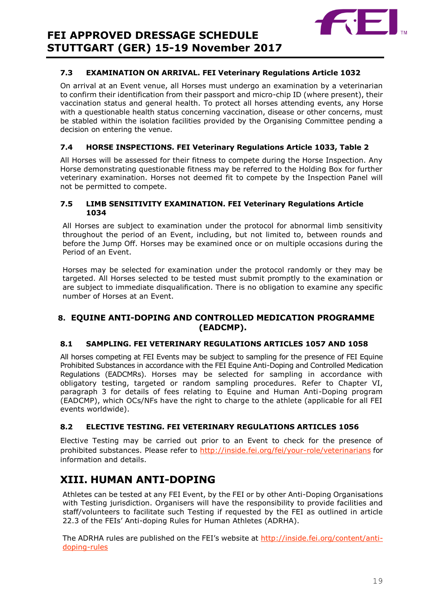

### **7.3 EXAMINATION ON ARRIVAL. FEI Veterinary Regulations Article 1032**

On arrival at an Event venue, all Horses must undergo an examination by a veterinarian to confirm their identification from their passport and micro-chip ID (where present), their vaccination status and general health. To protect all horses attending events, any Horse with a questionable health status concerning vaccination, disease or other concerns, must be stabled within the isolation facilities provided by the Organising Committee pending a decision on entering the venue.

### **7.4 HORSE INSPECTIONS. FEI Veterinary Regulations Article 1033, Table 2**

All Horses will be assessed for their fitness to compete during the Horse Inspection. Any Horse demonstrating questionable fitness may be referred to the Holding Box for further veterinary examination. Horses not deemed fit to compete by the Inspection Panel will not be permitted to compete.

### **7.5 LIMB SENSITIVITY EXAMINATION. FEI Veterinary Regulations Article 1034**

All Horses are subject to examination under the protocol for abnormal limb sensitivity throughout the period of an Event, including, but not limited to, between rounds and before the Jump Off. Horses may be examined once or on multiple occasions during the Period of an Event.

Horses may be selected for examination under the protocol randomly or they may be targeted. All Horses selected to be tested must submit promptly to the examination or are subject to immediate disqualification. There is no obligation to examine any specific number of Horses at an Event.

### <span id="page-18-0"></span>**8. EQUINE ANTI-DOPING AND CONTROLLED MEDICATION PROGRAMME (EADCMP).**

### **8.1 SAMPLING. FEI VETERINARY REGULATIONS ARTICLES 1057 AND 1058**

All horses competing at FEI Events may be subject to sampling for the presence of FEI Equine Prohibited Substances in accordance with the FEI Equine Anti-Doping and Controlled Medication Regulations (EADCMRs). Horses may be selected for sampling in accordance with obligatory testing, targeted or random sampling procedures. Refer to Chapter VI, paragraph 3 for details of fees relating to Equine and Human Anti-Doping program (EADCMP), which OCs/NFs have the right to charge to the athlete (applicable for all FEI events worldwide).

### **8.2 ELECTIVE TESTING. FEI VETERINARY REGULATIONS ARTICLES 1056**

Elective Testing may be carried out prior to an Event to check for the presence of prohibited substances. Please refer to<http://inside.fei.org/fei/your-role/veterinarians> for information and details.

## <span id="page-18-1"></span>**XIII. HUMAN ANTI-DOPING**

Athletes can be tested at any FEI Event, by the FEI or by other Anti-Doping Organisations with Testing jurisdiction. Organisers will have the responsibility to provide facilities and staff/volunteers to facilitate such Testing if requested by the FEI as outlined in article 22.3 of the FEIs' Anti-doping Rules for Human Athletes (ADRHA).

The ADRHA rules are published on the FEI's website at [http://inside.fei.org/content/anti](http://inside.fei.org/content/anti-doping-rules)[doping-rules](http://inside.fei.org/content/anti-doping-rules)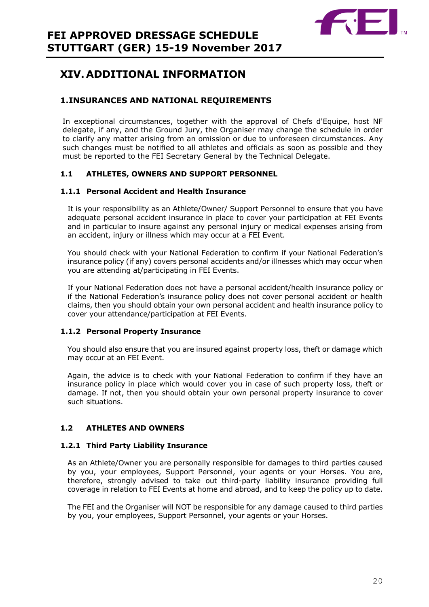

# <span id="page-19-0"></span>**XIV. ADDITIONAL INFORMATION**

### <span id="page-19-1"></span>**1.INSURANCES AND NATIONAL REQUIREMENTS**

In exceptional circumstances, together with the approval of Chefs d'Equipe, host NF delegate, if any, and the Ground Jury, the Organiser may change the schedule in order to clarify any matter arising from an omission or due to unforeseen circumstances. Any such changes must be notified to all athletes and officials as soon as possible and they must be reported to the FEI Secretary General by the Technical Delegate.

### **1.1 ATHLETES, OWNERS AND SUPPORT PERSONNEL**

### **1.1.1 Personal Accident and Health Insurance**

It is your responsibility as an Athlete/Owner/ Support Personnel to ensure that you have adequate personal accident insurance in place to cover your participation at FEI Events and in particular to insure against any personal injury or medical expenses arising from an accident, injury or illness which may occur at a FEI Event.

You should check with your National Federation to confirm if your National Federation's insurance policy (if any) covers personal accidents and/or illnesses which may occur when you are attending at/participating in FEI Events.

If your National Federation does not have a personal accident/health insurance policy or if the National Federation's insurance policy does not cover personal accident or health claims, then you should obtain your own personal accident and health insurance policy to cover your attendance/participation at FEI Events.

### **1.1.2 Personal Property Insurance**

You should also ensure that you are insured against property loss, theft or damage which may occur at an FEI Event.

Again, the advice is to check with your National Federation to confirm if they have an insurance policy in place which would cover you in case of such property loss, theft or damage. If not, then you should obtain your own personal property insurance to cover such situations.

### **1.2 ATHLETES AND OWNERS**

### **1.2.1 Third Party Liability Insurance**

As an Athlete/Owner you are personally responsible for damages to third parties caused by you, your employees, Support Personnel, your agents or your Horses. You are, therefore, strongly advised to take out third-party liability insurance providing full coverage in relation to FEI Events at home and abroad, and to keep the policy up to date.

The FEI and the Organiser will NOT be responsible for any damage caused to third parties by you, your employees, Support Personnel, your agents or your Horses.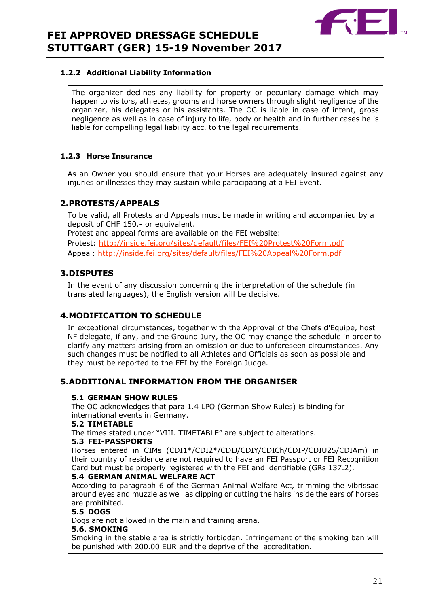

### **1.2.2 Additional Liability Information**

The organizer declines any liability for property or pecuniary damage which may happen to visitors, athletes, grooms and horse owners through slight negligence of the organizer, his delegates or his assistants. The OC is liable in case of intent, gross negligence as well as in case of injury to life, body or health and in further cases he is liable for compelling legal liability acc. to the legal requirements.

### **1.2.3 Horse Insurance**

As an Owner you should ensure that your Horses are adequately insured against any injuries or illnesses they may sustain while participating at a FEI Event.

### <span id="page-20-0"></span>**2.PROTESTS/APPEALS**

To be valid, all Protests and Appeals must be made in writing and accompanied by a deposit of CHF 150.- or equivalent. Protest and appeal forms are available on the FEI website: Protest:<http://inside.fei.org/sites/default/files/FEI%20Protest%20Form.pdf> Appeal:<http://inside.fei.org/sites/default/files/FEI%20Appeal%20Form.pdf>

### <span id="page-20-1"></span>**3.DISPUTES**

In the event of any discussion concerning the interpretation of the schedule (in translated languages), the English version will be decisive.

### <span id="page-20-2"></span>**4.MODIFICATION TO SCHEDULE**

In exceptional circumstances, together with the Approval of the Chefs d'Equipe, host NF delegate, if any, and the Ground Jury, the OC may change the schedule in order to clarify any matters arising from an omission or due to unforeseen circumstances. Any such changes must be notified to all Athletes and Officials as soon as possible and they must be reported to the FEI by the Foreign Judge.

### <span id="page-20-3"></span>**5.ADDITIONAL INFORMATION FROM THE ORGANISER**

### **5.1 GERMAN SHOW RULES**

The OC acknowledges that para 1.4 LPO (German Show Rules) is binding for international events in Germany.

### **5.2 TIMETABLE**

The times stated under "VIII. TIMETABLE" are subject to alterations.

### **5.3 FEI-PASSPORTS**

Horses entered in CIMs (CDI1\*/CDI2\*/CDIJ/CDIY/CDICh/CDIP/CDIU25/CDIAm) in their country of residence are not required to have an FEI Passport or FEI Recognition Card but must be properly registered with the FEI and identifiable (GRs 137.2).

### **5.4 GERMAN ANIMAL WELFARE ACT**

According to paragraph 6 of the German Animal Welfare Act, trimming the vibrissae around eyes and muzzle as well as clipping or cutting the hairs inside the ears of horses are prohibited.

### **5.5 DOGS**

Dogs are not allowed in the main and training arena.

#### **5.6. SMOKING**

Smoking in the stable area is strictly forbidden. Infringement of the smoking ban will be punished with 200.00 EUR and the deprive of the accreditation.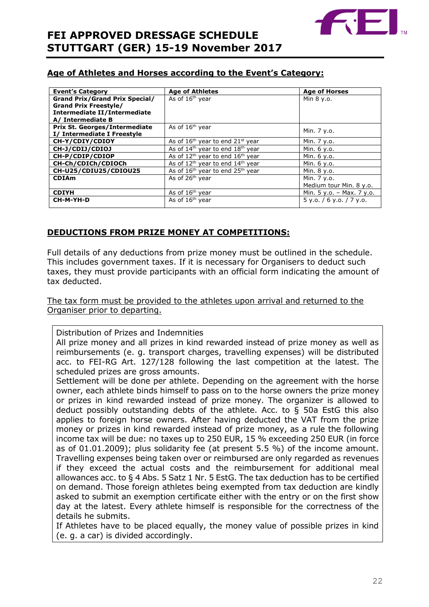

### **Age of Athletes and Horses according to the Event's Category:**

| <b>Event's Category</b>               | <b>Age of Athletes</b>                                   | <b>Age of Horses</b>        |
|---------------------------------------|----------------------------------------------------------|-----------------------------|
| <b>Grand Prix/Grand Prix Special/</b> | As of 16 <sup>th</sup> year                              | Min 8 y.o.                  |
| <b>Grand Prix Freestyle/</b>          |                                                          |                             |
| Intermediate II/Intermediate          |                                                          |                             |
| A/ Intermediate B                     |                                                          |                             |
| <b>Prix St. Georges/Intermediate</b>  | As of 16 <sup>th</sup> year                              | Min. 7 y.o.                 |
| I/ Intermediate I Freestyle           |                                                          |                             |
| CH-Y/CDIY/CDIOY                       | As of $16th$ year to end $21st$ year                     | Min. 7 y.o.                 |
| CH-J/CDIJ/CDIOJ                       | As of $14th$ year to end $18th$ year                     | Min. 6 y.o.                 |
| CH-P/CDIP/CDIOP                       | As of $12^{th}$ year to end $16^{th}$ year               | Min. 6 y.o.                 |
| CH-Ch/CDICh/CDIOCh                    | As of 12 <sup>th</sup> year to end 14 <sup>th</sup> year | Min. 6 y.o.                 |
| CH-U25/CDIU25/CDIOU25                 | As of $16th$ year to end $25th$ year                     | Min. 8 y.o.                 |
| <b>CDIAm</b>                          | As of 26 <sup>th</sup> year                              | Min. 7 y.o.                 |
|                                       |                                                          | Medium tour Min. 8 y.o.     |
| <b>CDIYH</b>                          | As of 16 <sup>th</sup> year                              | Min. $5 y.o. - Max. 7 y.o.$ |
| CH-M-YH-D                             | As of $16th$ year                                        | $5$ y.o. / 6 y.o. / 7 y.o.  |
|                                       |                                                          |                             |

### **DEDUCTIONS FROM PRIZE MONEY AT COMPETITIONS:**

Full details of any deductions from prize money must be outlined in the schedule. This includes government taxes. If it is necessary for Organisers to deduct such taxes, they must provide participants with an official form indicating the amount of tax deducted.

The tax form must be provided to the athletes upon arrival and returned to the Organiser prior to departing.

Distribution of Prizes and Indemnities

All prize money and all prizes in kind rewarded instead of prize money as well as reimbursements (e. g. transport charges, travelling expenses) will be distributed acc. to FEI-RG Art. 127/128 following the last competition at the latest. The scheduled prizes are gross amounts.

Settlement will be done per athlete. Depending on the agreement with the horse owner, each athlete binds himself to pass on to the horse owners the prize money or prizes in kind rewarded instead of prize money. The organizer is allowed to deduct possibly outstanding debts of the athlete. Acc. to § 50a EstG this also applies to foreign horse owners. After having deducted the VAT from the prize money or prizes in kind rewarded instead of prize money, as a rule the following income tax will be due: no taxes up to 250 EUR, 15 % exceeding 250 EUR (in force as of 01.01.2009); plus solidarity fee (at present 5.5 %) of the income amount. Travelling expenses being taken over or reimbursed are only regarded as revenues if they exceed the actual costs and the reimbursement for additional meal allowances acc. to § 4 Abs. 5 Satz 1 Nr. 5 EstG. The tax deduction has to be certified on demand. Those foreign athletes being exempted from tax deduction are kindly asked to submit an exemption certificate either with the entry or on the first show day at the latest. Every athlete himself is responsible for the correctness of the details he submits.

If Athletes have to be placed equally, the money value of possible prizes in kind (e. g. a car) is divided accordingly.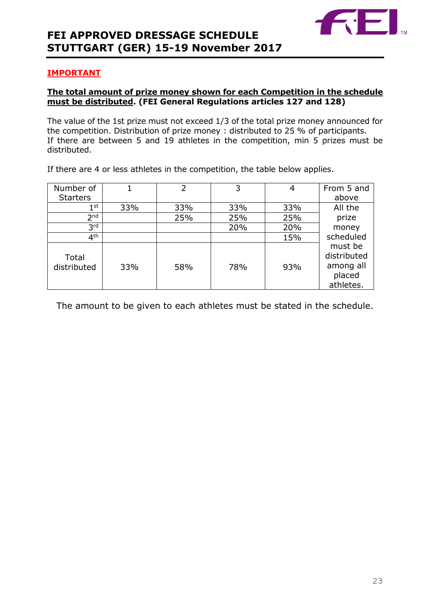

### **IMPORTANT**

### **The total amount of prize money shown for each Competition in the schedule must be distributed. (FEI General Regulations articles 127 and 128)**

The value of the 1st prize must not exceed 1/3 of the total prize money announced for the competition. Distribution of prize money : distributed to 25 % of participants. If there are between 5 and 19 athletes in the competition, min 5 prizes must be distributed.

If there are 4 or less athletes in the competition, the table below applies.

| Number of            |     | 2   | 3   | 4   | From 5 and                                                 |
|----------------------|-----|-----|-----|-----|------------------------------------------------------------|
| <b>Starters</b>      |     |     |     |     | above                                                      |
| 1 <sup>st</sup>      | 33% | 33% | 33% | 33% | All the                                                    |
| 2 <sub>nd</sub>      |     | 25% | 25% | 25% | prize                                                      |
| 3 <sup>rd</sup>      |     |     | 20% | 20% | money                                                      |
| 4 <sup>th</sup>      |     |     |     | 15% | scheduled                                                  |
| Total<br>distributed | 33% | 58% | 78% | 93% | must be<br>distributed<br>among all<br>placed<br>athletes. |

The amount to be given to each athletes must be stated in the schedule.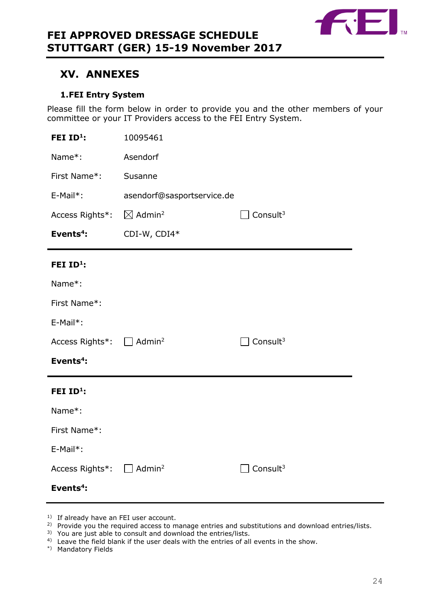

### <span id="page-23-0"></span>**XV. ANNEXES**

### **1.FEI Entry System**

<span id="page-23-1"></span>Please fill the form below in order to provide you and the other members of your committee or your IT Providers access to the FEI Entry System.

| FEI ID <sup>1</sup> :                | 10095461                       |                      |
|--------------------------------------|--------------------------------|----------------------|
| Name*:                               | Asendorf                       |                      |
| First Name*:                         | Susanne                        |                      |
| E-Mail*:                             | asendorf@sasportservice.de     |                      |
| Access Rights*:                      | $\boxtimes$ Admin <sup>2</sup> | Consult <sup>3</sup> |
| Events <sup>4</sup> :                | CDI-W, CDI4*                   |                      |
| FEI ID <sup>1</sup> :                |                                |                      |
| Name*:                               |                                |                      |
| First Name*:                         |                                |                      |
| E-Mail*:                             |                                |                      |
| Access Rights*: □ Admin <sup>2</sup> |                                | Consult <sup>3</sup> |
| Events <sup>4</sup> :                |                                |                      |
| FEI $ID^1$ :                         |                                |                      |
| Name*:                               |                                |                      |
| First Name*:                         |                                |                      |
| E-Mail*:                             |                                |                      |
| Access Rights*: $\Box$               | Admin <sup>2</sup>             | Consult <sup>3</sup> |
|                                      |                                |                      |

- <sup>1)</sup> If already have an FEI user account.
- <sup>2)</sup> Provide you the required access to manage entries and substitutions and download entries/lists.
- 3) You are just able to consult and download the entries/lists.
- <sup>4)</sup> Leave the field blank if the user deals with the entries of all events in the show.
- \*) Mandatory Fields

**Events<sup>4</sup> :**